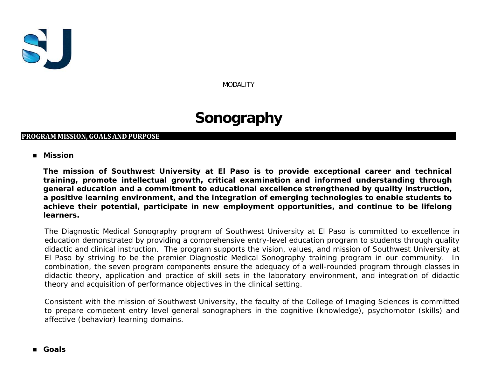

MODALITY

# **Sonography**

# **PROGRAM MISSION, GOALS AND PURPOSE**

## **Mission**

**The mission of Southwest University at El Paso is to provide exceptional career and technical training, promote intellectual growth, critical examination and informed understanding through general education and a commitment to educational excellence strengthened by quality instruction, a positive learning environment, and the integration of emerging technologies to enable students to achieve their potential, participate in new employment opportunities, and continue to be lifelong learners.**

The Diagnostic Medical Sonography program of Southwest University at El Paso is committed to excellence in education demonstrated by providing a comprehensive entry-level education program to students through quality didactic and clinical instruction. The program supports the vision, values, and mission of Southwest University at El Paso by striving to be the premier Diagnostic Medical Sonography training program in our community. In combination, the seven program components ensure the adequacy of a well-rounded program through classes in didactic theory, application and practice of skill sets in the laboratory environment, and integration of didactic theory and acquisition of performance objectives in the clinical setting.

Consistent with the mission of Southwest University, the faculty of the College of Imaging Sciences is committed to prepare competent entry level general sonographers in the cognitive (knowledge), psychomotor (skills) and affective (behavior) learning domains.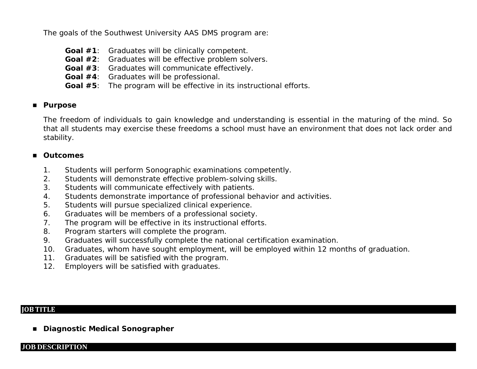The goals of the Southwest University AAS DMS program are:

- **Goal #1**: Graduates will be clinically competent.
- **Goal #2**: Graduates will be effective problem solvers.
- **Goal #3**: Graduates will communicate effectively.
- **Goal #4**: Graduates will be professional.
- **Goal #5**: The program will be effective in its instructional efforts.

# **Purpose**

The freedom of individuals to gain knowledge and understanding is essential in the maturing of the mind. So that all students may exercise these freedoms a school must have an environment that does not lack order and stability.

# **Outcomes**

- 1. Students will perform Sonographic examinations competently.
- 2. Students will demonstrate effective problem-solving skills.
- 3. Students will communicate effectively with patients.
- 4. Students demonstrate importance of professional behavior and activities.
- 5. Students will pursue specialized clinical experience.
- 6. Graduates will be members of a professional society.
- 7. The program will be effective in its instructional efforts.
- 8. Program starters will complete the program.
- 9. Graduates will successfully complete the national certification examination.
- 10. Graduates, whom have sought employment, will be employed within 12 months of graduation.
- 11. Graduates will be satisfied with the program.
- 12. Employers will be satisfied with graduates.

# **JOB TITLE**

**Diagnostic Medical Sonographer**

## **JOB DESCRIPTION**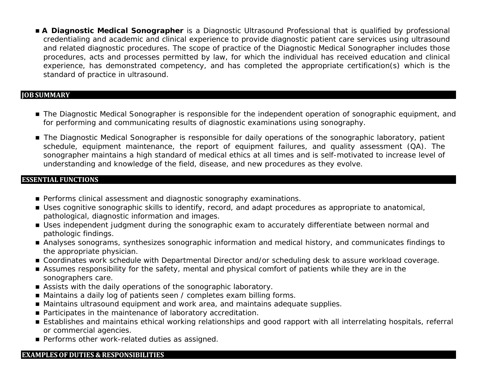**A Diagnostic Medical Sonographer** is a Diagnostic Ultrasound Professional that is qualified by professional credentialing and academic and clinical experience to provide diagnostic patient care services using ultrasound and related diagnostic procedures. The scope of practice of the Diagnostic Medical Sonographer includes those procedures, acts and processes permitted by law, for which the individual has received education and clinical experience, has demonstrated competency, and has completed the appropriate certification(s) which is the standard of practice in ultrasound.

## **JOB SUMMARY**

- The Diagnostic Medical Sonographer is responsible for the independent operation of sonographic equipment, and for performing and communicating results of diagnostic examinations using sonography.
- The Diagnostic Medical Sonographer is responsible for daily operations of the sonographic laboratory, patient schedule, equipment maintenance, the report of equipment failures, and quality assessment (QA). The sonographer maintains a high standard of medical ethics at all times and is self-motivated to increase level of understanding and knowledge of the field, disease, and new procedures as they evolve.

## **ESSENTIAL FUNCTIONS**

- **Performs clinical assessment and diagnostic sonography examinations.**
- Uses cognitive sonographic skills to identify, record, and adapt procedures as appropriate to anatomical, pathological, diagnostic information and images.
- **Uses independent judgment during the sonographic exam to accurately differentiate between normal and** pathologic findings.
- Analyses sonograms, synthesizes sonographic information and medical history, and communicates findings to the appropriate physician.
- Coordinates work schedule with Departmental Director and/or scheduling desk to assure workload coverage.
- Assumes responsibility for the safety, mental and physical comfort of patients while they are in the sonographers care.
- Assists with the daily operations of the sonographic laboratory.
- Maintains a daily log of patients seen / completes exam billing forms.
- Maintains ultrasound equipment and work area, and maintains adequate supplies.
- Participates in the maintenance of laboratory accreditation.
- Establishes and maintains ethical working relationships and good rapport with all interrelating hospitals, referral or commercial agencies.
- **Performs other work-related duties as assigned.**

#### **EXAMPLESOF DUTIES & RESPONSIBILITIES**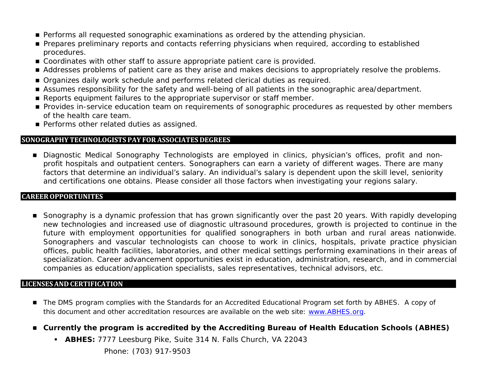- **Performs all requested sonographic examinations as ordered by the attending physician.**
- **Prepares preliminary reports and contacts referring physicians when required, according to established** procedures.
- Coordinates with other staff to assure appropriate patient care is provided.
- Addresses problems of patient care as they arise and makes decisions to appropriately resolve the problems.
- **Organizes daily work schedule and performs related clerical duties as required.**
- Assumes responsibility for the safety and well-being of all patients in the sonographic area/department.
- Reports equipment failures to the appropriate supervisor or staff member.
- **Provides in-service education team on requirements of sonographic procedures as requested by other members** of the health care team.
- **Performs other related duties as assigned.**

# **SONOGRAPHY TECHNOLOGISTS PAY FOR ASSOCIATES DEGREES**

Diagnostic Medical Sonography Technologists are employed in clinics, physician's offices, profit and nonprofit hospitals and outpatient centers. Sonographers can earn a variety of different wages. There are many factors that determine an individual's salary. An individual's salary is dependent upon the skill level, seniority and certifications one obtains. Please consider all those factors when investigating your regions salary.

## **CAREEROPPORTUNITES**

Sonography is a dynamic profession that has grown significantly over the past 20 years. With rapidly developing new technologies and increased use of diagnostic ultrasound procedures, growth is projected to continue in the future with employment opportunities for qualified sonographers in both urban and rural areas nationwide. Sonographers and vascular technologists can choose to work in clinics, hospitals, private practice physician offices, public health facilities, laboratories, and other medical settings performing examinations in their areas of specialization. Career advancement opportunities exist in education, administration, research, and in commercial companies as education/application specialists, sales representatives, technical advisors, etc.

# **LICENSES AND CERTIFICATION**

- The DMS program complies with the Standards for an Accredited Educational Program set forth by ABHES. A copy of this document and other accreditation resources are available on the web site: [www.ABHES.org.](http://www.abhes.org/)
- **Currently the program is accredited by the Accrediting Bureau of Health Education Schools (ABHES)** 
	- **ABHES:** 7777 Leesburg Pike, Suite 314 N. Falls Church, VA 22043

Phone: (703) 917-9503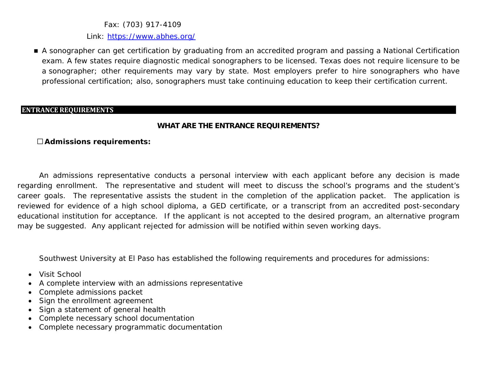Fax: (703) 917-4109

Link:<https://www.abhes.org/>

 A sonographer can get certification by graduating from an accredited program and passing a National Certification exam. A few states require diagnostic medical sonographers to be licensed. Texas does not require licensure to be a sonographer; other requirements may vary by state. Most employers prefer to hire sonographers who have professional certification; also, sonographers must take continuing education to keep their certification current.

#### **ENTRANCE REQUIREMENTS**

# **WHAT ARE THE ENTRANCE REQUIREMENTS?**

## **Admissions requirements:**

An admissions representative conducts a personal interview with each applicant before any decision is made regarding enrollment. The representative and student will meet to discuss the school's programs and the student's career goals. The representative assists the student in the completion of the application packet. The application is reviewed for evidence of a high school diploma, a GED certificate, or a transcript from an accredited post-secondary educational institution for acceptance. If the applicant is not accepted to the desired program, an alternative program may be suggested. Any applicant rejected for admission will be notified within seven working days.

Southwest University at El Paso has established the following requirements and procedures for admissions:

- Visit School
- A complete interview with an admissions representative
- Complete admissions packet
- Sign the enrollment agreement
- Sign a statement of general health
- Complete necessary school documentation
- Complete necessary programmatic documentation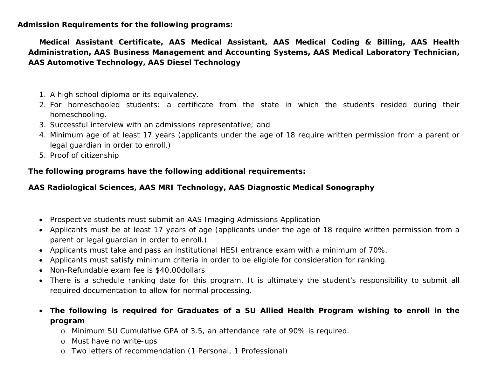**Admission Requirements for the following programs:**

**Medical Assistant Certificate, AAS Medical Assistant, AAS Medical Coding & Billing, AAS Health Administration, AAS Business Management and Accounting Systems, AAS Medical Laboratory Technician, AAS Automotive Technology, AAS Diesel Technology**

- 1. A high school diploma or its equivalency.
- 2. For homeschooled students: a certificate from the state in which the students resided during their homeschooling.
- 3. Successful interview with an admissions representative; and
- 4. Minimum age of at least 17 years (applicants under the age of 18 require written permission from a parent or legal guardian in order to enroll.)
- 5. Proof of citizenship

**The following programs have the following additional requirements:**

# **AAS Radiological Sciences, AAS MRI Technology, AAS Diagnostic Medical Sonography**

- Prospective students must submit an AAS Imaging Admissions Application
- Applicants must be at least 17 years of age (applicants under the age of 18 require written permission from a parent or legal guardian in order to enroll.)
- Applicants must take and pass an institutional HESI entrance exam with a minimum of 70%.
- Applicants must satisfy minimum criteria in order to be eligible for consideration for ranking.
- Non-Refundable exam fee is \$40.00dollars
- There is a schedule ranking date for this program. It is ultimately the student's responsibility to submit all required documentation to allow for normal processing.
- **The following is required for Graduates of a SU Allied Health Program wishing to enroll in the program**
	- o Minimum SU Cumulative GPA of 3.5, an attendance rate of 90% is required.
	- o Must have no write-ups
	- o Two letters of recommendation (1 Personal, 1 Professional)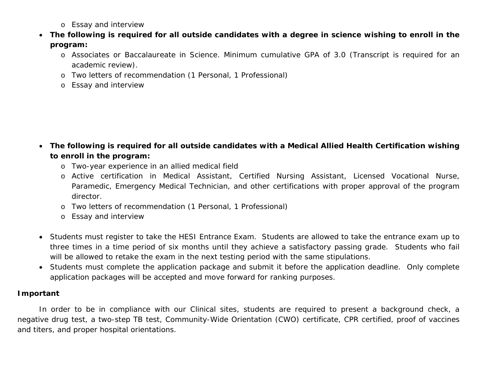- o Essay and interview
- **The following is required for all outside candidates with a degree in science wishing to enroll in the program:**
	- o Associates or Baccalaureate in Science. Minimum cumulative GPA of 3.0 (Transcript is required for an academic review).
	- o Two letters of recommendation (1 Personal, 1 Professional)
	- o Essay and interview

- **The following is required for all outside candidates with a Medical Allied Health Certification wishing to enroll in the program:**
	- o Two-year experience in an allied medical field
	- o Active certification in Medical Assistant, Certified Nursing Assistant, Licensed Vocational Nurse, Paramedic, Emergency Medical Technician, and other certifications with proper approval of the program director.
	- o Two letters of recommendation (1 Personal, 1 Professional)
	- o Essay and interview
- Students must register to take the HESI Entrance Exam. Students are allowed to take the entrance exam up to three times in a time period of six months until they achieve a satisfactory passing grade. Students who fail will be allowed to retake the exam in the next testing period with the same stipulations.
- Students must complete the application package and submit it before the application deadline. Only complete application packages will be accepted and move forward for ranking purposes.

# **Important**

In order to be in compliance with our Clinical sites, students are required to present a background check, a negative drug test, a two-step TB test, Community-Wide Orientation (CWO) certificate, CPR certified, proof of vaccines and titers, and proper hospital orientations.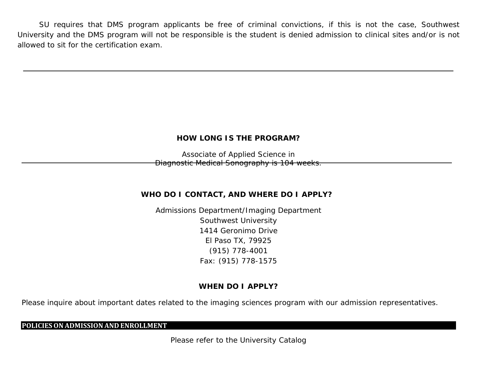SU requires that DMS program applicants be free of criminal convictions, if this is not the case, Southwest University and the DMS program will not be responsible is the student is denied admission to clinical sites and/or is not allowed to sit for the certification exam.

# **HOW LONG IS THE PROGRAM?**

Associate of Applied Science in Diagnostic Medical Sonography is 104 weeks.

# **WHO DO I CONTACT, AND WHERE DO I APPLY?**

Admissions Department/Imaging Department Southwest University 1414 Geronimo Drive El Paso TX, 79925 (915) 778-4001 Fax: (915) 778-1575

# **WHEN DO I APPLY?**

Please inquire about important dates related to the imaging sciences program with our admission representatives.

#### **POLICIESON ADMISSION AND ENROLLMENT**

Please refer to the University Catalog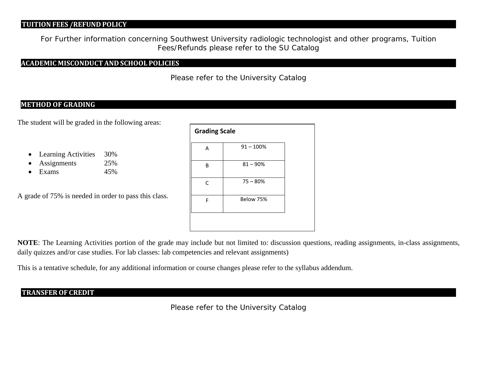# **TUITION FEES /REFUND POLICY**

For Further information concerning Southwest University radiologic technologist and other programs, Tuition Fees/Refunds please refer to the SU Catalog

#### **ACADEMIC MISCONDUCT AND SCHOOL POLICIES**

Please refer to the University Catalog

## **METHOD OF GRADING**

The student will be graded in the following areas:

- Learning Activities 30%
- Assignments 25%
- Exams 45%

A grade of 75% is needed in order to pass this class.

| <b>Grading Scale</b> |              |  |
|----------------------|--------------|--|
| A                    | $91 - 100\%$ |  |
| B                    | $81 - 90\%$  |  |
| $\mathsf{C}$         | $75 - 80%$   |  |
| F                    | Below 75%    |  |
|                      |              |  |

**NOTE**: The Learning Activities portion of the grade may include but not limited to: discussion questions, reading assignments, in-class assignments, daily quizzes and/or case studies. For lab classes: lab competencies and relevant assignments)

This is a tentative schedule, for any additional information or course changes please refer to the syllabus addendum.

# **TRANSFEROF CREDIT**

Please refer to the University Catalog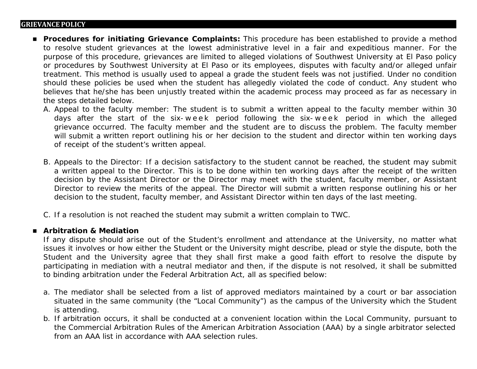#### **GRIEVANCE POLICY**

- **Procedures for initiating Grievance Complaints:** This procedure has been established to provide a method to resolve student grievances at the lowest administrative level in a fair and expeditious manner. For the purpose of this procedure, grievances are limited to alleged violations of Southwest University at El Paso policy or procedures by Southwest University at El Paso or its employees, disputes with faculty and/or alleged unfair treatment. This method is usually used to appeal a grade the student feels was not justified. Under no condition should these policies be used when the student has allegedly violated the code of conduct. Any student who believes that he/she has been unjustly treated within the academic process may proceed as far as necessary in the steps detailed below.
	- A. Appeal to the faculty member: The student is to submit a written appeal to the faculty member within 30 days after the start of the six- week period following the six- week period in which the alleged grievance occurred. The faculty member and the student are to discuss the problem. The faculty member will submit a written report outlining his or her decision to the student and director within ten working days of receipt of the student's written appeal.
	- B. Appeals to the Director: If a decision satisfactory to the student cannot be reached, the student may submit a written appeal to the Director. This is to be done within ten working days after the receipt of the written decision by the Assistant Director or the Director may meet with the student, faculty member, or Assistant Director to review the merits of the appeal. The Director will submit a written response outlining his or her decision to the student, faculty member, and Assistant Director within ten days of the last meeting.
	- C. If a resolution is not reached the student may submit a written complain to TWC.

## **Arbitration & Mediation**

If any dispute should arise out of the Student's enrollment and attendance at the University, no matter what issues it involves or how either the Student or the University might describe, plead or style the dispute, both the Student and the University agree that they shall first make a good faith effort to resolve the dispute by participating in mediation with a neutral mediator and then, if the dispute is not resolved, it shall be submitted to binding arbitration under the Federal Arbitration Act, all as specified below:

- a. The mediator shall be selected from a list of approved mediators maintained by a court or bar association situated in the same community (the "Local Community") as the campus of the University which the Student is attending.
- b. If arbitration occurs, it shall be conducted at a convenient location within the Local Community, pursuant to the Commercial Arbitration Rules of the American Arbitration Association (AAA) by a single arbitrator selected from an AAA list in accordance with AAA selection rules.